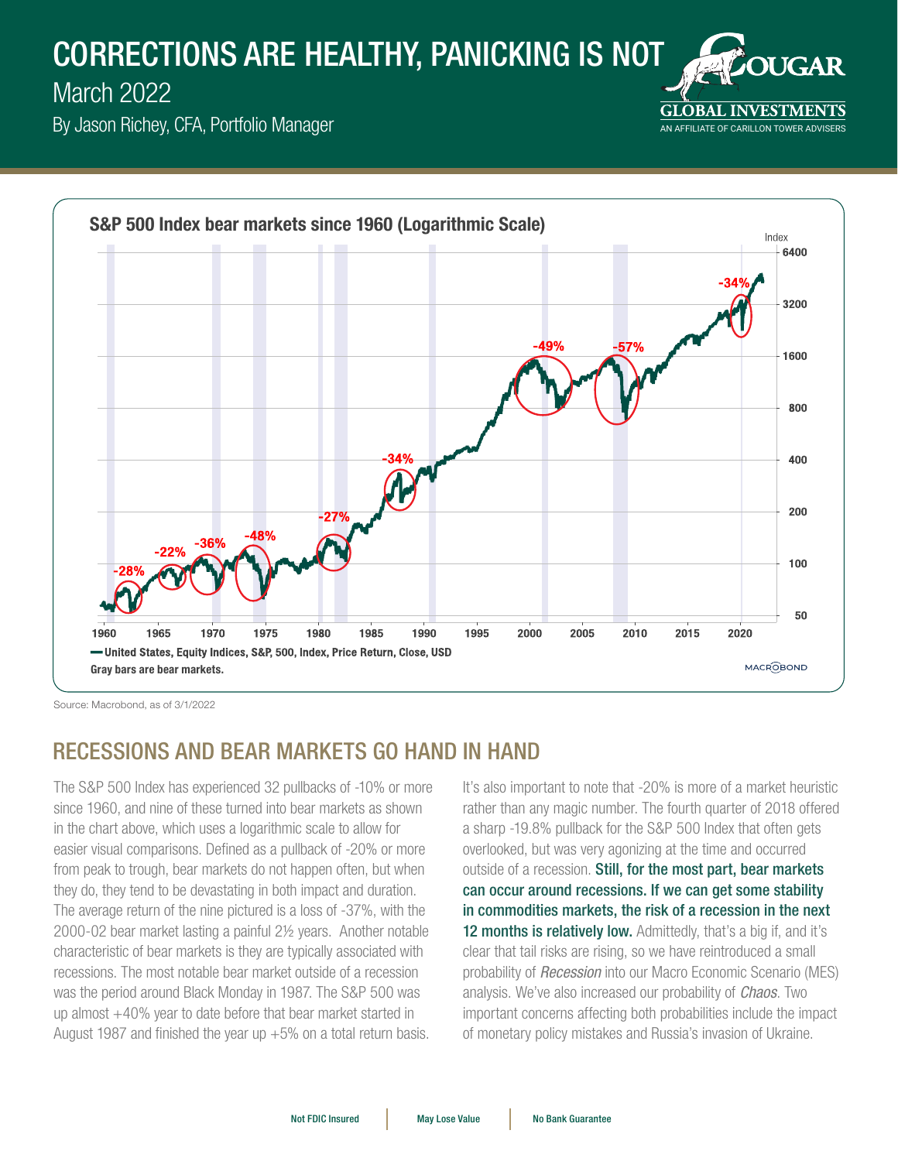CORRECTIONS ARE HEALTHY, PANICKING IS NOT

# March 2022



By Jason Richey, CFA, Portfolio Manager



Source: Macrobond, as of 3/1/2022

### RECESSIONS AND BEAR MARKETS GO HAND IN HAND

The S&P 500 Index has experienced 32 pullbacks of -10% or more since 1960, and nine of these turned into bear markets as shown in the chart above, which uses a logarithmic scale to allow for easier visual comparisons. Defined as a pullback of -20% or more from peak to trough, bear markets do not happen often, but when they do, they tend to be devastating in both impact and duration. The average return of the nine pictured is a loss of -37%, with the 2000-02 bear market lasting a painful 2½ years. Another notable characteristic of bear markets is they are typically associated with recessions. The most notable bear market outside of a recession was the period around Black Monday in 1987. The S&P 500 was up almost +40% year to date before that bear market started in August 1987 and finished the year up  $+5\%$  on a total return basis.

It's also important to note that -20% is more of a market heuristic rather than any magic number. The fourth quarter of 2018 offered a sharp -19.8% pullback for the S&P 500 Index that often gets overlooked, but was very agonizing at the time and occurred outside of a recession. Still, for the most part, bear markets can occur around recessions. If we can get some stability in commodities markets, the risk of a recession in the next 12 months is relatively low. Admittedly, that's a big if, and it's clear that tail risks are rising, so we have reintroduced a small probability of *Recession* into our Macro Economic Scenario (MES) analysis. We've also increased our probability of *Chaos*. Two important concerns affecting both probabilities include the impact of monetary policy mistakes and Russia's invasion of Ukraine.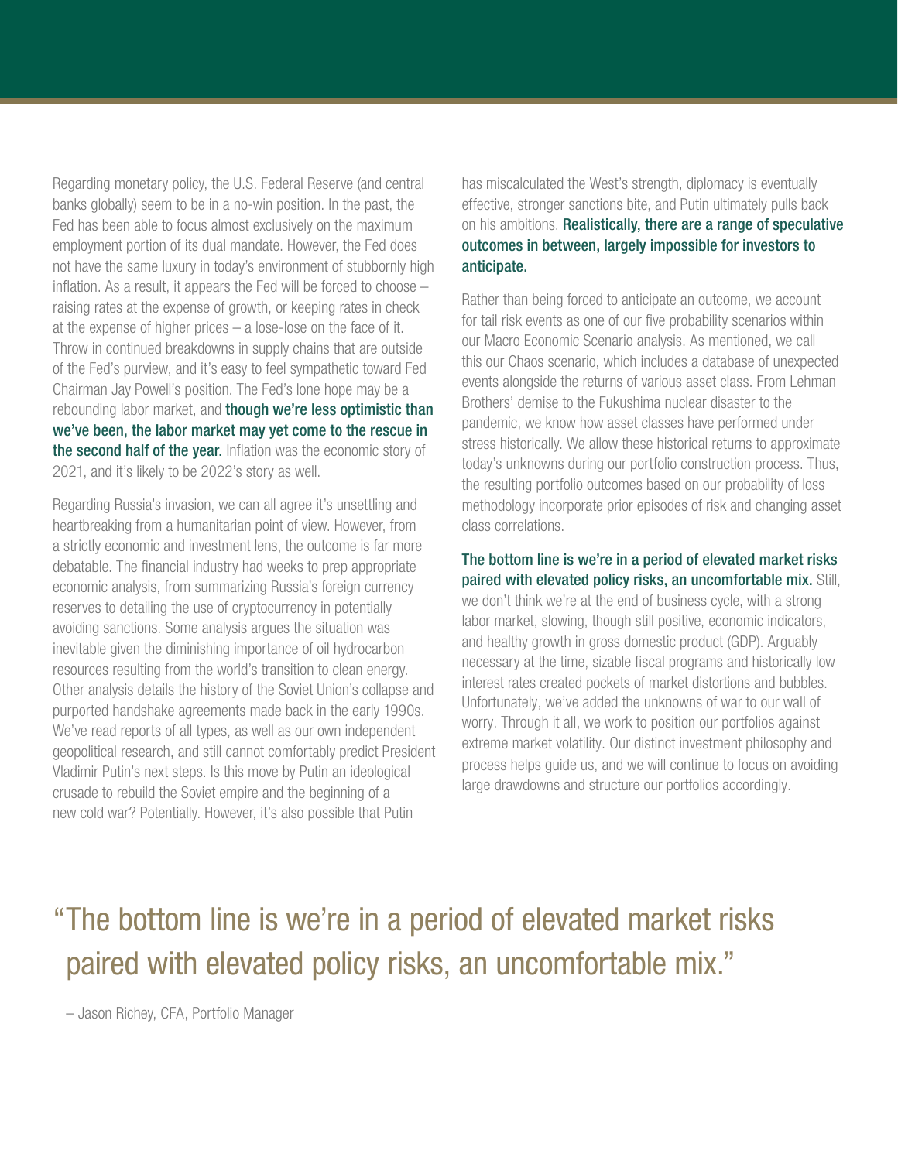Regarding monetary policy, the U.S. Federal Reserve (and central banks globally) seem to be in a no-win position. In the past, the Fed has been able to focus almost exclusively on the maximum employment portion of its dual mandate. However, the Fed does not have the same luxury in today's environment of stubbornly high inflation. As a result, it appears the Fed will be forced to choose – raising rates at the expense of growth, or keeping rates in check at the expense of higher prices – a lose-lose on the face of it. Throw in continued breakdowns in supply chains that are outside of the Fed's purview, and it's easy to feel sympathetic toward Fed Chairman Jay Powell's position. The Fed's lone hope may be a rebounding labor market, and though we're less optimistic than we've been, the labor market may yet come to the rescue in the second half of the year. Inflation was the economic story of 2021, and it's likely to be 2022's story as well.

Regarding Russia's invasion, we can all agree it's unsettling and heartbreaking from a humanitarian point of view. However, from a strictly economic and investment lens, the outcome is far more debatable. The financial industry had weeks to prep appropriate economic analysis, from summarizing Russia's foreign currency reserves to detailing the use of cryptocurrency in potentially avoiding sanctions. Some analysis argues the situation was inevitable given the diminishing importance of oil hydrocarbon resources resulting from the world's transition to clean energy. Other analysis details the history of the Soviet Union's collapse and purported handshake agreements made back in the early 1990s. We've read reports of all types, as well as our own independent geopolitical research, and still cannot comfortably predict President Vladimir Putin's next steps. Is this move by Putin an ideological crusade to rebuild the Soviet empire and the beginning of a new cold war? Potentially. However, it's also possible that Putin

has miscalculated the West's strength, diplomacy is eventually effective, stronger sanctions bite, and Putin ultimately pulls back on his ambitions. Realistically, there are a range of speculative outcomes in between, largely impossible for investors to anticipate.

Rather than being forced to anticipate an outcome, we account for tail risk events as one of our five probability scenarios within our Macro Economic Scenario analysis. As mentioned, we call this our Chaos scenario, which includes a database of unexpected events alongside the returns of various asset class. From Lehman Brothers' demise to the Fukushima nuclear disaster to the pandemic, we know how asset classes have performed under stress historically. We allow these historical returns to approximate today's unknowns during our portfolio construction process. Thus, the resulting portfolio outcomes based on our probability of loss methodology incorporate prior episodes of risk and changing asset class correlations.

The bottom line is we're in a period of elevated market risks paired with elevated policy risks, an uncomfortable mix. Still, we don't think we're at the end of business cycle, with a strong labor market, slowing, though still positive, economic indicators, and healthy growth in gross domestic product (GDP). Arguably necessary at the time, sizable fiscal programs and historically low interest rates created pockets of market distortions and bubbles. Unfortunately, we've added the unknowns of war to our wall of worry. Through it all, we work to position our portfolios against extreme market volatility. Our distinct investment philosophy and process helps guide us, and we will continue to focus on avoiding large drawdowns and structure our portfolios accordingly.

# "The bottom line is we're in a period of elevated market risks paired with elevated policy risks, an uncomfortable mix."

– Jason Richey, CFA, Portfolio Manager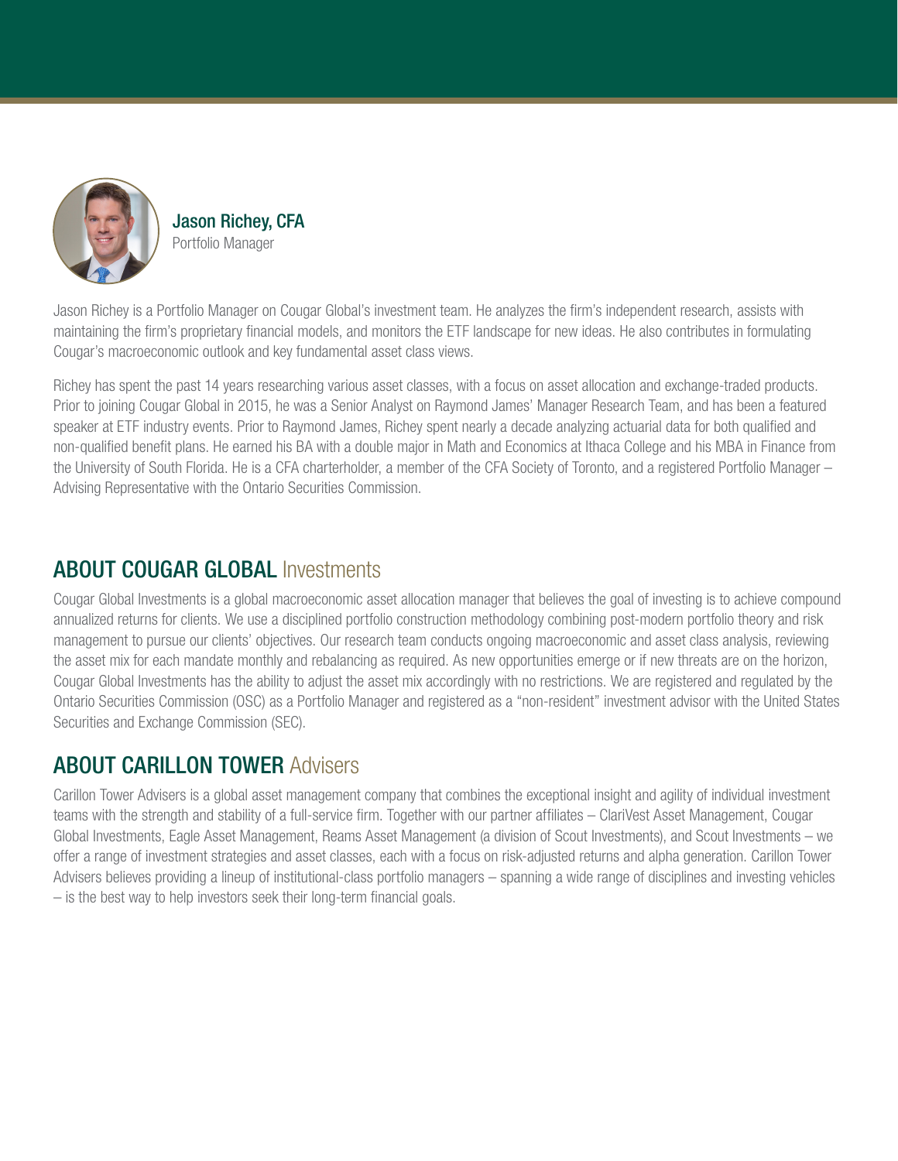

Jason Richey, CFA Portfolio Manager

Jason Richey is a Portfolio Manager on Cougar Global's investment team. He analyzes the firm's independent research, assists with maintaining the firm's proprietary financial models, and monitors the ETF landscape for new ideas. He also contributes in formulating Cougar's macroeconomic outlook and key fundamental asset class views.

Richey has spent the past 14 years researching various asset classes, with a focus on asset allocation and exchange-traded products. Prior to joining Cougar Global in 2015, he was a Senior Analyst on Raymond James' Manager Research Team, and has been a featured speaker at ETF industry events. Prior to Raymond James, Richey spent nearly a decade analyzing actuarial data for both qualified and non-qualified benefit plans. He earned his BA with a double major in Math and Economics at Ithaca College and his MBA in Finance from the University of South Florida. He is a CFA charterholder, a member of the CFA Society of Toronto, and a registered Portfolio Manager – Advising Representative with the Ontario Securities Commission.

#### ABOUT COUGAR GLOBAL Investments

Cougar Global Investments is a global macroeconomic asset allocation manager that believes the goal of investing is to achieve compound annualized returns for clients. We use a disciplined portfolio construction methodology combining post-modern portfolio theory and risk management to pursue our clients' objectives. Our research team conducts ongoing macroeconomic and asset class analysis, reviewing the asset mix for each mandate monthly and rebalancing as required. As new opportunities emerge or if new threats are on the horizon, Cougar Global Investments has the ability to adjust the asset mix accordingly with no restrictions. We are registered and regulated by the Ontario Securities Commission (OSC) as a Portfolio Manager and registered as a "non-resident" investment advisor with the United States Securities and Exchange Commission (SEC).

#### **ABOUT CARILLON TOWER Advisers**

Carillon Tower Advisers is a global asset management company that combines the exceptional insight and agility of individual investment teams with the strength and stability of a full-service firm. Together with our partner affiliates – ClariVest Asset Management, Cougar Global Investments, Eagle Asset Management, Reams Asset Management (a division of Scout Investments), and Scout Investments – we offer a range of investment strategies and asset classes, each with a focus on risk-adjusted returns and alpha generation. Carillon Tower Advisers believes providing a lineup of institutional-class portfolio managers – spanning a wide range of disciplines and investing vehicles – is the best way to help investors seek their long-term financial goals.